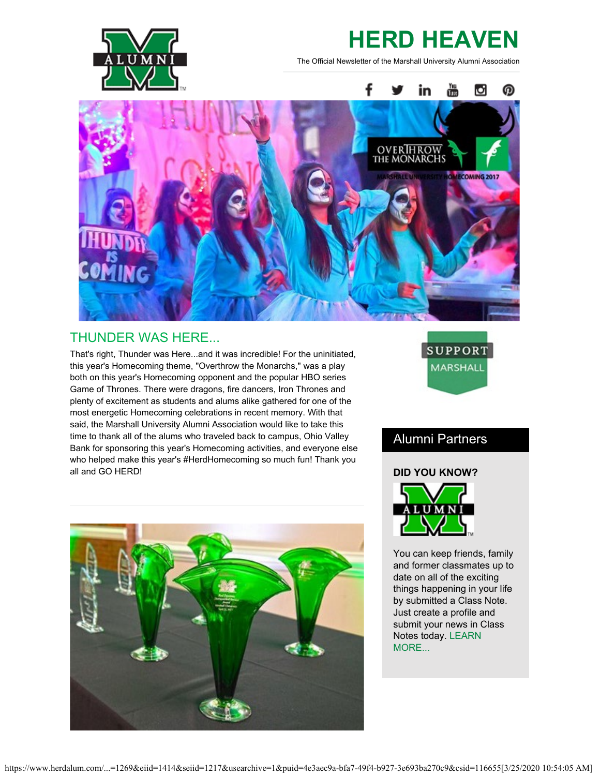

# **HERD HEAVEN**

The Official Newsletter of the Marshall University Alumni Association



## THUNDER WAS HERE...

That's right, Thunder was Here...and it was incredible! For the uninitiated, this year's Homecoming theme, "Overthrow the Monarchs," was a play both on this year's Homecoming opponent and the popular HBO series Game of Thrones. There were dragons, fire dancers, Iron Thrones and plenty of excitement as students and alums alike gathered for one of the most energetic Homecoming celebrations in recent memory. With that said, the Marshall University Alumni Association would like to take this time to thank all of the alums who traveled back to campus, Ohio Valley Bank for sponsoring this year's Homecoming activities, and everyone else who helped make this year's #HerdHomecoming so much fun! Thank you all and GO HERD!





## Alumni Partners

#### **DID YOU KNOW?**



You can keep friends, family and former classmates up to date on all of the exciting things happening in your life by submitted a Class Note. Just create a profile and submit your news in Class Notes today. [LEARN](http://www.herdalum.com/s/1269/index.aspx?sid=1269&gid=1&pgid=827) [MORE...](http://www.herdalum.com/s/1269/index.aspx?sid=1269&gid=1&pgid=827)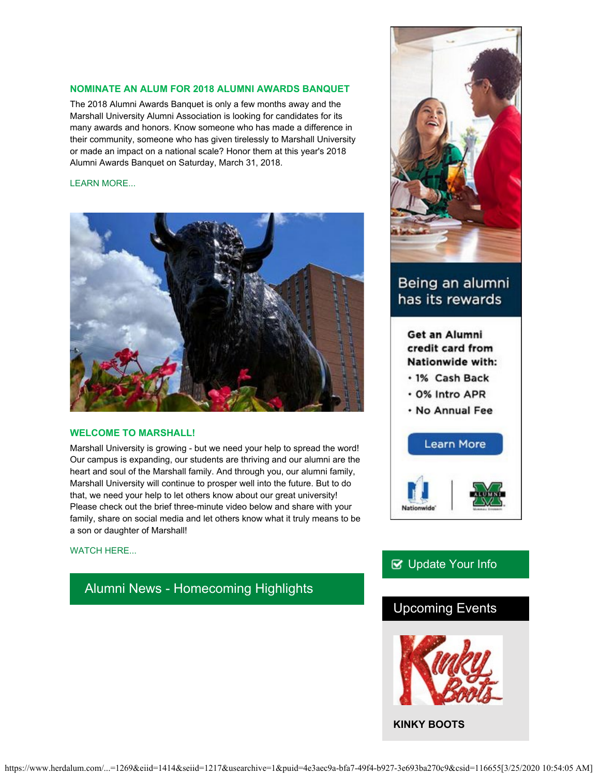#### **NOMINATE AN ALUM FOR 2018 ALUMNI AWARDS BANQUET**

The 2018 Alumni Awards Banquet is only a few months away and the Marshall University Alumni Association is looking for candidates for its many awards and honors. Know someone who has made a difference in their community, someone who has given tirelessly to Marshall University or made an impact on a national scale? Honor them at this year's 2018 Alumni Awards Banquet on Saturday, March 31, 2018.

#### [LEARN MORE...](http://www.herdalum.com/s/1269/index.aspx?sid=1269&gid=1&pgid=1006)



#### **WELCOME TO MARSHALL!**

Marshall University is growing - but we need your help to spread the word! Our campus is expanding, our students are thriving and our alumni are the heart and soul of the Marshall family. And through you, our alumni family, Marshall University will continue to prosper well into the future. But to do that, we need your help to let others know about our great university! Please check out the brief three-minute video below and share with your family, share on social media and let others know what it truly means to be a son or daughter of Marshall!

#### [WATCH HERE...](https://www.youtube.com/watch?v=vjYDaMAQ9Rs)

### Alumni News - Homecoming Highlights



## Being an alumni has its rewards

Get an Alumni credit card from Nationwide with:

- · 1% Cash Back
- . 0% Intro APR
- . No Annual Fee



## **V** [Update Your Info](http://www.herdalum.com/s/1269/index.aspx?sid=1269&gid=1&pgid=6&cid=41#/Search/Simple)

## Upcoming Events



**KINKY BOOTS**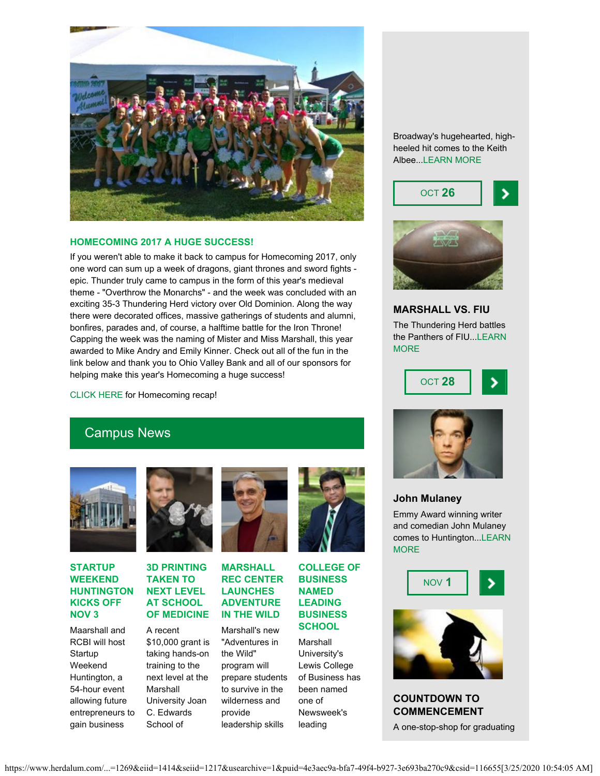

#### **HOMECOMING 2017 A HUGE SUCCESS!**

If you weren't able to make it back to campus for Homecoming 2017, only one word can sum up a week of dragons, giant thrones and sword fights epic. Thunder truly came to campus in the form of this year's medieval theme - "Overthrow the Monarchs" - and the week was concluded with an exciting 35-3 Thundering Herd victory over Old Dominion. Along the way there were decorated offices, massive gatherings of students and alumni, bonfires, parades and, of course, a halftime battle for the Iron Throne! Capping the week was the naming of Mister and Miss Marshall, this year awarded to Mike Andry and Emily Kinner. Check out all of the fun in the link below and thank you to Ohio Valley Bank and all of our sponsors for helping make this year's Homecoming a huge success!

[CLICK HERE](http://www.herdalum.com/s/1269/index.aspx?sid=1269&gid=1&pgid=949) for Homecoming recap!

# Campus News



#### **STARTUP WEEKEND HUNTINGTON KICKS OFF NOV 3**

Maarshall and RCBI will host Startup Weekend Huntington, a 54-hour event allowing future entrepreneurs to gain business



#### **3D PRINTING TAKEN TO NEXT LEVEL AT SCHOOL OF MEDICINE**

A recent \$10,000 grant is taking hands-on training to the next level at the Marshall University Joan C. Edwards School of



#### **MARSHALL REC CENTER LAUNCHES ADVENTURE IN THE WILD**

Marshall's new "Adventures in the Wild" program will prepare students to survive in the wilderness and provide leadership skills



#### **COLLEGE OF BUSINESS NAMED LEADING BUSINESS SCHOOL**

Marshall University's Lewis College of Business has been named one of Newsweek's leading

Broadway's hugehearted, highheeled hit comes to the Keith Albee..[.LEARN MORE](http://www.marshall.edu/muartistseries/show?id=22)





#### **MARSHALL VS. FIU**

The Thundering Herd battles the Panthers of FIU..[.LEARN](http://www.herdzone.com/sports/m-footbl/sched/mars-m-footbl-sched.html) **[MORE](http://www.herdzone.com/sports/m-footbl/sched/mars-m-footbl-sched.html)** 





#### **John Mulaney**

Emmy Award winning writer and comedian John Mulaney comes to Huntington...[LEARN](http://www.marshall.edu/muartistseries/show?id=23) **[MORE](http://www.marshall.edu/muartistseries/show?id=23)** 





**COUNTDOWN TO COMMENCEMENT**

A one-stop-shop for graduating

https://www.herdalum.com/...=1269&eiid=1414&seiid=1217&usearchive=1&puid=4e3aec9a-bfa7-49f4-b927-3e693ba270c9&csid=116655[3/25/2020 10:54:05 AM]